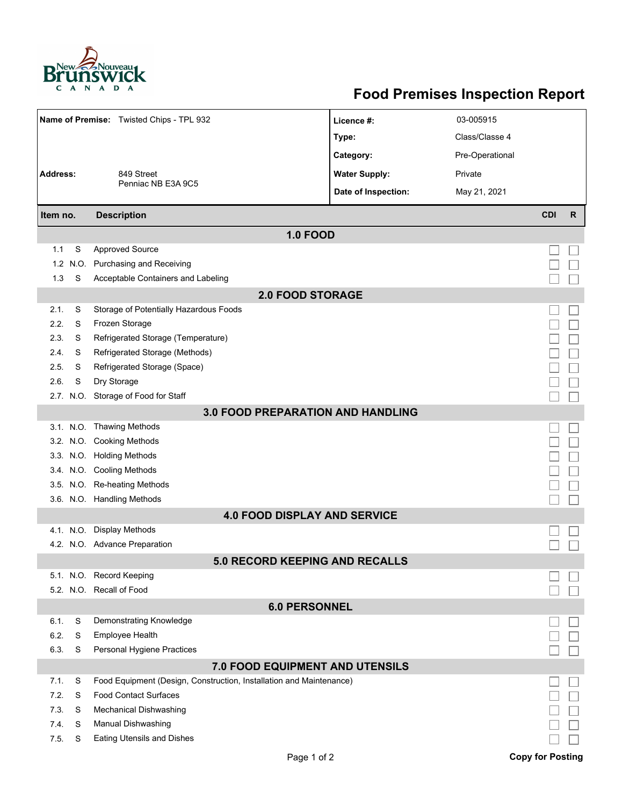

## **Food Premises Inspection Report**

|                                                                       |      | Name of Premise: Twisted Chips - TPL 932                            | Licence #:           | 03-005915       |                         |    |  |  |  |
|-----------------------------------------------------------------------|------|---------------------------------------------------------------------|----------------------|-----------------|-------------------------|----|--|--|--|
|                                                                       |      |                                                                     | Type:                | Class/Classe 4  |                         |    |  |  |  |
|                                                                       |      | 849 Street                                                          | Category:            | Pre-Operational |                         |    |  |  |  |
| <b>Address:</b>                                                       |      |                                                                     | <b>Water Supply:</b> | Private         |                         |    |  |  |  |
|                                                                       |      | Penniac NB E3A 9C5                                                  | Date of Inspection:  | May 21, 2021    |                         |    |  |  |  |
| Item no.                                                              |      | <b>Description</b>                                                  |                      |                 | <b>CDI</b>              | R. |  |  |  |
|                                                                       |      | <b>1.0 FOOD</b>                                                     |                      |                 |                         |    |  |  |  |
| 1.1                                                                   | S    | <b>Approved Source</b>                                              |                      |                 |                         |    |  |  |  |
| 1.2                                                                   | N.O. | Purchasing and Receiving                                            |                      |                 |                         |    |  |  |  |
| 1.3                                                                   | S    | Acceptable Containers and Labeling                                  |                      |                 |                         |    |  |  |  |
|                                                                       |      | <b>2.0 FOOD STORAGE</b>                                             |                      |                 |                         |    |  |  |  |
| 2.1.                                                                  | S    | Storage of Potentially Hazardous Foods                              |                      |                 |                         |    |  |  |  |
| 2.2.                                                                  | S    | Frozen Storage                                                      |                      |                 |                         |    |  |  |  |
| 2.3.                                                                  | S    | Refrigerated Storage (Temperature)                                  |                      |                 |                         |    |  |  |  |
| 2.4.                                                                  | S    | Refrigerated Storage (Methods)                                      |                      |                 |                         |    |  |  |  |
| 2.5.                                                                  | S    | Refrigerated Storage (Space)                                        |                      |                 |                         |    |  |  |  |
| 2.6.                                                                  | S    | Dry Storage                                                         |                      |                 |                         |    |  |  |  |
|                                                                       |      | 2.7. N.O. Storage of Food for Staff                                 |                      |                 |                         |    |  |  |  |
|                                                                       |      |                                                                     |                      |                 |                         |    |  |  |  |
| <b>3.0 FOOD PREPARATION AND HANDLING</b><br>3.1. N.O. Thawing Methods |      |                                                                     |                      |                 |                         |    |  |  |  |
|                                                                       |      | 3.2. N.O. Cooking Methods                                           |                      |                 |                         |    |  |  |  |
|                                                                       |      | 3.3. N.O. Holding Methods                                           |                      |                 |                         |    |  |  |  |
|                                                                       |      | 3.4. N.O. Cooling Methods                                           |                      |                 |                         |    |  |  |  |
|                                                                       |      | 3.5. N.O. Re-heating Methods                                        |                      |                 |                         |    |  |  |  |
|                                                                       |      | 3.6. N.O. Handling Methods                                          |                      |                 |                         |    |  |  |  |
| <b>4.0 FOOD DISPLAY AND SERVICE</b>                                   |      |                                                                     |                      |                 |                         |    |  |  |  |
|                                                                       |      | 4.1. N.O. Display Methods                                           |                      |                 |                         |    |  |  |  |
|                                                                       |      | 4.2. N.O. Advance Preparation                                       |                      |                 |                         |    |  |  |  |
| <b>5.0 RECORD KEEPING AND RECALLS</b>                                 |      |                                                                     |                      |                 |                         |    |  |  |  |
|                                                                       |      | 5.1. N.O. Record Keeping                                            |                      |                 |                         |    |  |  |  |
|                                                                       |      | 5.2. N.O. Recall of Food                                            |                      |                 |                         |    |  |  |  |
| <b>6.0 PERSONNEL</b>                                                  |      |                                                                     |                      |                 |                         |    |  |  |  |
| 6.1.                                                                  | S    | Demonstrating Knowledge                                             |                      |                 |                         |    |  |  |  |
| 6.2.                                                                  | S    | Employee Health                                                     |                      |                 |                         |    |  |  |  |
| 6.3.                                                                  | S    | Personal Hygiene Practices                                          |                      |                 |                         |    |  |  |  |
| <b>7.0 FOOD EQUIPMENT AND UTENSILS</b>                                |      |                                                                     |                      |                 |                         |    |  |  |  |
| 7.1.                                                                  | S    | Food Equipment (Design, Construction, Installation and Maintenance) |                      |                 |                         |    |  |  |  |
| 7.2.                                                                  | S    | <b>Food Contact Surfaces</b>                                        |                      |                 |                         |    |  |  |  |
| 7.3                                                                   | S    | <b>Mechanical Dishwashing</b>                                       |                      |                 |                         |    |  |  |  |
| 7.4.                                                                  | S    | Manual Dishwashing                                                  |                      |                 |                         |    |  |  |  |
| 7.5.                                                                  | S    | <b>Eating Utensils and Dishes</b>                                   |                      |                 |                         |    |  |  |  |
|                                                                       |      | Page 1 of 2                                                         |                      |                 | <b>Copy for Posting</b> |    |  |  |  |